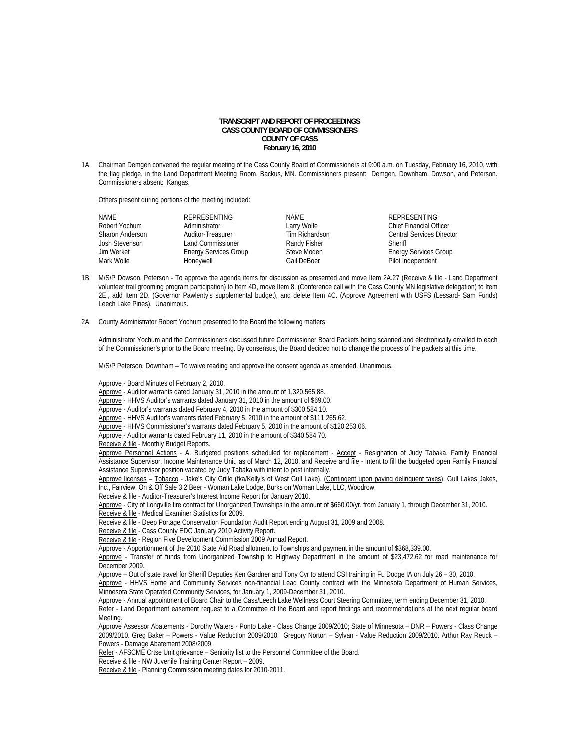## **TRANSCRIPT AND REPORT OF PROCEEDINGS CASS COUNTY BOARD OF COMMISSIONERS COUNTY OF CASS February 16, 2010**

1A. Chairman Demgen convened the regular meeting of the Cass County Board of Commissioners at 9:00 a.m. on Tuesday, February 16, 2010, with the flag pledge, in the Land Department Meeting Room, Backus, MN. Commissioners present: Demgen, Downham, Dowson, and Peterson. Commissioners absent: Kangas.

Others present during portions of the meeting included:

| <b>NAME</b>     | REPRESENTING                 | <b>NAME</b>    | REPRESENTING                     |
|-----------------|------------------------------|----------------|----------------------------------|
| Robert Yochum   | Administrator                | Larry Wolfe    | <b>Chief Financial Officer</b>   |
| Sharon Anderson | Auditor-Treasurer            | Tim Richardson | <b>Central Services Director</b> |
| Josh Stevenson  | <b>Land Commissioner</b>     | Randy Fisher   | Sheriff                          |
| Jim Werket      | <b>Energy Services Group</b> | Steve Moden    | <b>Energy Services Group</b>     |
| Mark Wolle      | Honeywell                    | Gail DeBoer    | Pilot Independent                |
|                 |                              |                |                                  |

- 1B. M/S/P Dowson, Peterson To approve the agenda items for discussion as presented and move Item 2A.27 (Receive & file Land Department volunteer trail grooming program participation) to Item 4D, move Item 8. (Conference call with the Cass County MN legislative delegation) to Item 2E., add Item 2D. (Governor Pawlenty's supplemental budget), and delete Item 4C. (Approve Agreement with USFS (Lessard- Sam Funds) Leech Lake Pines). Unanimous.
- 2A. County Administrator Robert Yochum presented to the Board the following matters:

Administrator Yochum and the Commissioners discussed future Commissioner Board Packets being scanned and electronically emailed to each of the Commissioner's prior to the Board meeting. By consensus, the Board decided not to change the process of the packets at this time.

M/S/P Peterson, Downham – To waive reading and approve the consent agenda as amended. Unanimous.

Approve - Board Minutes of February 2, 2010.

Approve - Auditor warrants dated January 31, 2010 in the amount of 1,320,565.88.

Approve - HHVS Auditor's warrants dated January 31, 2010 in the amount of \$69.00.

Approve - Auditor's warrants dated February 4, 2010 in the amount of \$300,584.10.

Approve - HHVS Auditor's warrants dated February 5, 2010 in the amount of \$111,265.62.

Approve - HHVS Commissioner's warrants dated February 5, 2010 in the amount of \$120,253.06.

Approve - Auditor warrants dated February 11, 2010 in the amount of \$340,584.70.

Receive & file - Monthly Budget Reports.

Approve Personnel Actions - A. Budgeted positions scheduled for replacement - Accept - Resignation of Judy Tabaka, Family Financial Assistance Supervisor, Income Maintenance Unit, as of March 12, 2010, and Receive and file - Intent to fill the budgeted open Family Financial Assistance Supervisor position vacated by Judy Tabaka with intent to post internally.

Approve licenses - Tobacco - Jake's City Grille (fka/Kelly's of West Gull Lake), (Contingent upon paying delinquent taxes), Gull Lakes Jakes, Inc., Fairview. On & Off Sale 3.2 Beer - Woman Lake Lodge, Burks on Woman Lake, LLC, Woodrow.

Receive & file - Auditor-Treasurer's Interest Income Report for January 2010.

Approve - City of Longville fire contract for Unorganized Townships in the amount of \$660.00/yr. from January 1, through December 31, 2010. Receive & file - Medical Examiner Statistics for 2009.

Receive & file - Deep Portage Conservation Foundation Audit Report ending August 31, 2009 and 2008.

Receive & file - Cass County EDC January 2010 Activity Report.

Receive & file - Region Five Development Commission 2009 Annual Report.

Approve - Apportionment of the 2010 State Aid Road allotment to Townships and payment in the amount of \$368,339.00.

Approve - Transfer of funds from Unorganized Township to Highway Department in the amount of \$23,472.62 for road maintenance for December 2009.

Approve – Out of state travel for Sheriff Deputies Ken Gardner and Tony Cyr to attend CSI training in Ft. Dodge IA on July 26 – 30, 2010.

Approve - HHVS Home and Community Services non-financial Lead County contract with the Minnesota Department of Human Services, Minnesota State Operated Community Services, for January 1, 2009-December 31, 2010.

Approve - Annual appointment of Board Chair to the Cass/Leech Lake Wellness Court Steering Committee, term ending December 31, 2010. Refer - Land Department easement request to a Committee of the Board and report findings and recommendations at the next regular board Meeting.

Approve Assessor Abatements - Dorothy Waters - Ponto Lake - Class Change 2009/2010; State of Minnesota – DNR – Powers - Class Change 2009/2010. Greg Baker – Powers - Value Reduction 2009/2010. Gregory Norton – Sylvan - Value Reduction 2009/2010. Arthur Ray Reuck – Powers - Damage Abatement 2008/2009.

Refer - AFSCME Crtse Unit grievance – Seniority list to the Personnel Committee of the Board.

Receive & file - NW Juvenile Training Center Report - 2009.

Receive & file - Planning Commission meeting dates for 2010-2011.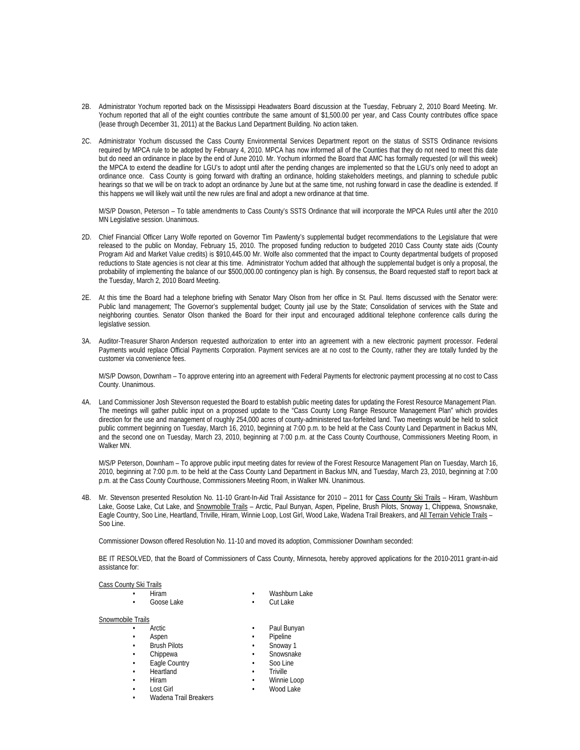- 2B. Administrator Yochum reported back on the Mississippi Headwaters Board discussion at the Tuesday, February 2, 2010 Board Meeting. Mr. Yochum reported that all of the eight counties contribute the same amount of \$1,500.00 per year, and Cass County contributes office space (lease through December 31, 2011) at the Backus Land Department Building. No action taken.
- 2C. Administrator Yochum discussed the Cass County Environmental Services Department report on the status of SSTS Ordinance revisions required by MPCA rule to be adopted by February 4, 2010. MPCA has now informed all of the Counties that they do not need to meet this date but do need an ordinance in place by the end of June 2010. Mr. Yochum informed the Board that AMC has formally requested (or will this week) the MPCA to extend the deadline for LGU's to adopt until after the pending changes are implemented so that the LGU's only need to adopt an ordinance once. Cass County is going forward with drafting an ordinance, holding stakeholders meetings, and planning to schedule public hearings so that we will be on track to adopt an ordinance by June but at the same time, not rushing forward in case the deadline is extended. If this happens we will likely wait until the new rules are final and adopt a new ordinance at that time.

 M/S/P Dowson, Peterson – To table amendments to Cass County's SSTS Ordinance that will incorporate the MPCA Rules until after the 2010 MN Legislative session. Unanimous.

- 2D. Chief Financial Officer Larry Wolfe reported on Governor Tim Pawlenty's supplemental budget recommendations to the Legislature that were released to the public on Monday, February 15, 2010. The proposed funding reduction to budgeted 2010 Cass County state aids (County Program Aid and Market Value credits) is \$910,445.00 Mr. Wolfe also commented that the impact to County departmental budgets of proposed reductions to State agencies is not clear at this time. Administrator Yochum added that although the supplemental budget is only a proposal, the probability of implementing the balance of our \$500,000.00 contingency plan is high. By consensus, the Board requested staff to report back at the Tuesday, March 2, 2010 Board Meeting.
- 2E. At this time the Board had a telephone briefing with Senator Mary Olson from her office in St. Paul. Items discussed with the Senator were: Public land management; The Governor's supplemental budget; County jail use by the State; Consolidation of services with the State and neighboring counties. Senator Olson thanked the Board for their input and encouraged additional telephone conference calls during the legislative session.
- 3A. Auditor-Treasurer Sharon Anderson requested authorization to enter into an agreement with a new electronic payment processor. Federal Payments would replace Official Payments Corporation. Payment services are at no cost to the County, rather they are totally funded by the customer via convenience fees.

M/S/P Dowson, Downham – To approve entering into an agreement with Federal Payments for electronic payment processing at no cost to Cass County. Unanimous.

4A. Land Commissioner Josh Stevenson requested the Board to establish public meeting dates for updating the Forest Resource Management Plan. The meetings will gather public input on a proposed update to the "Cass County Long Range Resource Management Plan" which provides direction for the use and management of roughly 254,000 acres of county-administered tax-forfeited land. Two meetings would be held to solicit public comment beginning on Tuesday, March 16, 2010, beginning at 7:00 p.m. to be held at the Cass County Land Department in Backus MN, and the second one on Tuesday, March 23, 2010, beginning at 7:00 p.m. at the Cass County Courthouse, Commissioners Meeting Room, in Walker MN.

M/S/P Peterson, Downham – To approve public input meeting dates for review of the Forest Resource Management Plan on Tuesday, March 16, 2010, beginning at 7:00 p.m. to be held at the Cass County Land Department in Backus MN, and Tuesday, March 23, 2010, beginning at 7:00 p.m. at the Cass County Courthouse, Commissioners Meeting Room, in Walker MN. Unanimous.

4B. Mr. Stevenson presented Resolution No. 11-10 Grant-In-Aid Trail Assistance for 2010 - 2011 for Cass County Ski Trails - Hiram, Washburn Lake, Goose Lake, Cut Lake, and Snowmobile Trails - Arctic, Paul Bunyan, Aspen, Pipeline, Brush Pilots, Snoway 1, Chippewa, Snowsnake, Eagle Country, Soo Line, Heartland, Triville, Hiram, Winnie Loop, Lost Girl, Wood Lake, Wadena Trail Breakers, and All Terrain Vehicle Trails – Soo Line.

Commissioner Dowson offered Resolution No. 11-10 and moved its adoption, Commissioner Downham seconded:

BE IT RESOLVED, that the Board of Commissioners of Cass County, Minnesota, hereby approved applications for the 2010-2011 grant-in-aid assistance for:

## Cass County Ski Trails

| гэлгттан э |               |
|------------|---------------|
| Hiram      | Washburn Lake |
| Goose Lake | Cut Lake      |

Snowmobile Trails

| <b>JIUWIIIUUIE TIAIIS</b> |                     |           |             |  |  |
|---------------------------|---------------------|-----------|-------------|--|--|
| $\bullet$                 | Arctic              | ٠         | Paul Bunyan |  |  |
| $\bullet$                 | Aspen               | $\bullet$ | Pipeline    |  |  |
| $\bullet$                 | <b>Brush Pilots</b> | $\bullet$ | Snoway 1    |  |  |
| $\bullet$                 | Chippewa            | ٠         | Snowsnake   |  |  |
|                           | Eagle Country       | ٠         | Soo Line    |  |  |
| $\bullet$                 | Heartland           |           | Triville    |  |  |
| $\bullet$                 | Hiram               | $\bullet$ | Winnie Loop |  |  |
| $\bullet$                 | Lost Girl           | ٠         | Wood Lake   |  |  |
|                           | $\cdots$ $\cdots$   |           |             |  |  |

• Wadena Trail Breakers